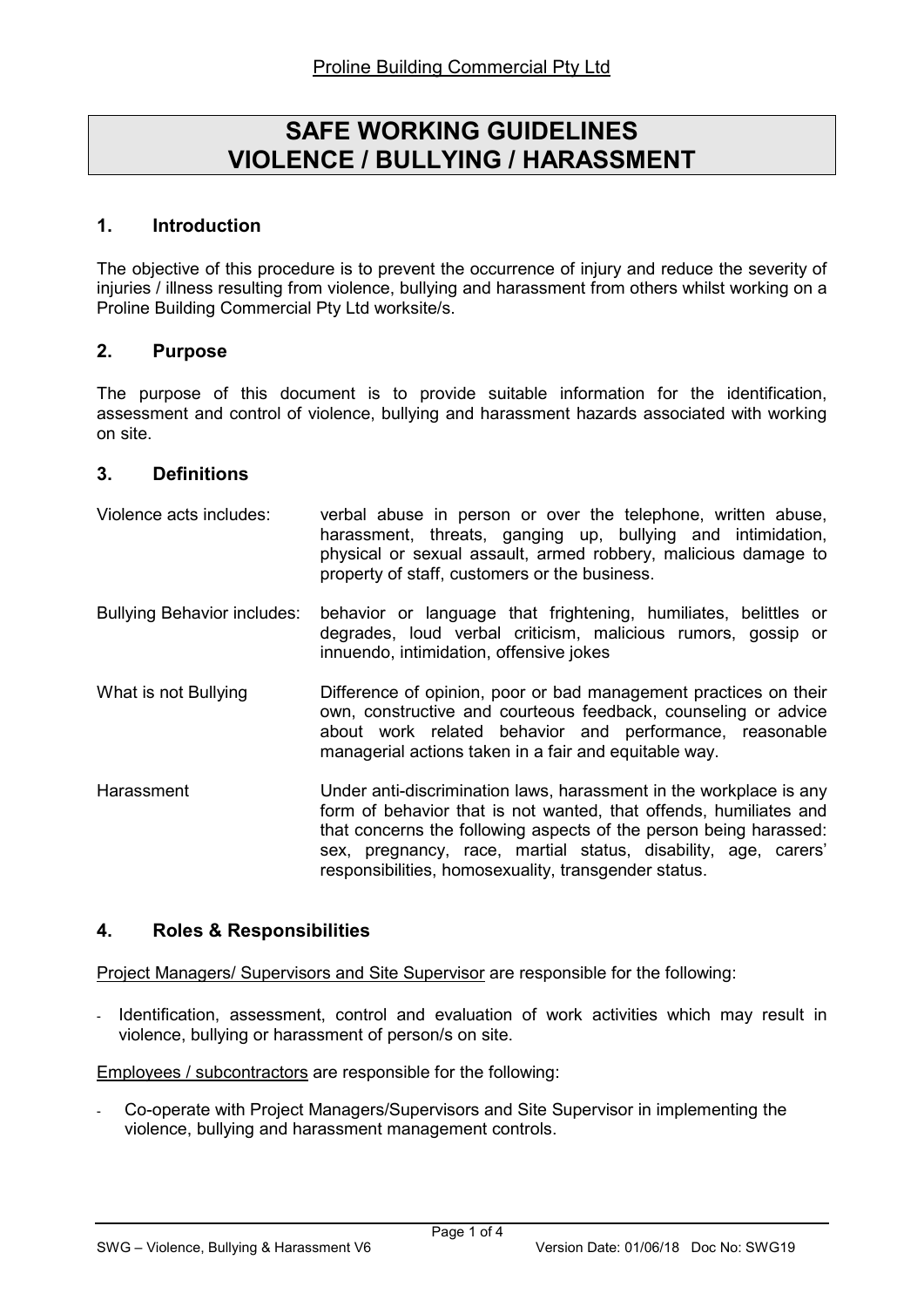# SAFE WORKING GUIDELINES VIOLENCE / BULLYING / HARASSMENT

### 1. Introduction

The objective of this procedure is to prevent the occurrence of injury and reduce the severity of injuries / illness resulting from violence, bullying and harassment from others whilst working on a Proline Building Commercial Pty Ltd worksite/s.

### 2. Purpose

The purpose of this document is to provide suitable information for the identification, assessment and control of violence, bullying and harassment hazards associated with working on site.

### 3. Definitions

| Violence acts includes:            | verbal abuse in person or over the telephone, written abuse,<br>harassment, threats, ganging up, bullying and intimidation,<br>physical or sexual assault, armed robbery, malicious damage to<br>property of staff, customers or the business.                                                                                         |  |
|------------------------------------|----------------------------------------------------------------------------------------------------------------------------------------------------------------------------------------------------------------------------------------------------------------------------------------------------------------------------------------|--|
| <b>Bullying Behavior includes:</b> | behavior or language that frightening, humiliates, belittles or<br>degrades, loud verbal criticism, malicious rumors, gossip or<br>innuendo, intimidation, offensive jokes                                                                                                                                                             |  |
| What is not Bullying               | Difference of opinion, poor or bad management practices on their<br>own, constructive and courteous feedback, counseling or advice<br>about work related behavior and performance, reasonable<br>managerial actions taken in a fair and equitable way.                                                                                 |  |
| Harassment                         | Under anti-discrimination laws, harassment in the workplace is any<br>form of behavior that is not wanted, that offends, humiliates and<br>that concerns the following aspects of the person being harassed:<br>sex, pregnancy, race, martial status, disability, age, carers'<br>responsibilities, homosexuality, transgender status. |  |

### 4. Roles & Responsibilities

Project Managers/ Supervisors and Site Supervisor are responsible for the following:

Identification, assessment, control and evaluation of work activities which may result in violence, bullying or harassment of person/s on site.

Employees / subcontractors are responsible for the following:

- Co-operate with Project Managers/Supervisors and Site Supervisor in implementing the violence, bullying and harassment management controls.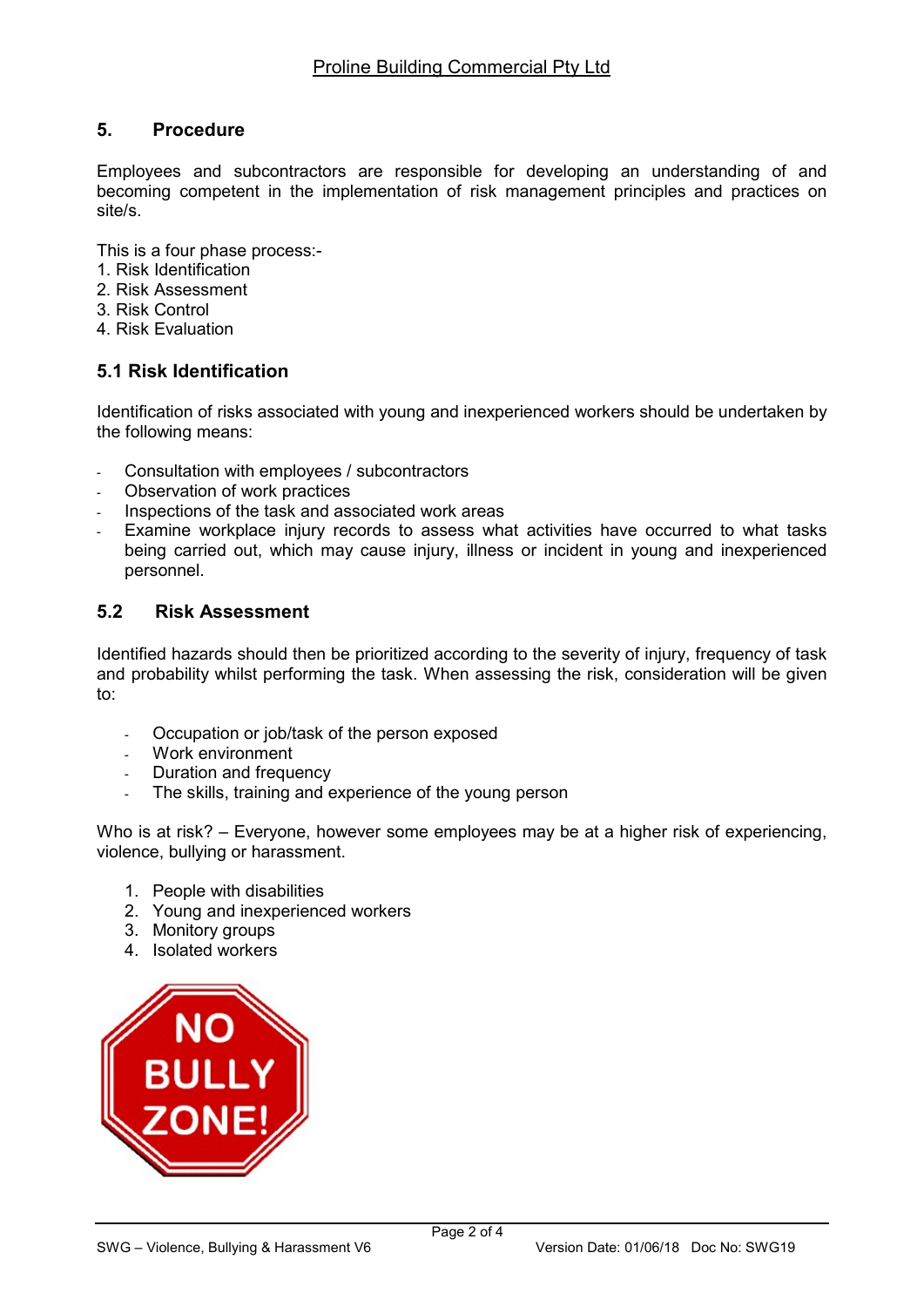# 5. Procedure

Employees and subcontractors are responsible for developing an understanding of and becoming competent in the implementation of risk management principles and practices on site/s.

This is a four phase process:-

- 1. Risk Identification
- 2. Risk Assessment
- 3. Risk Control
- 4. Risk Evaluation

# 5.1 Risk Identification

Identification of risks associated with young and inexperienced workers should be undertaken by the following means:

- Consultation with employees / subcontractors
- Observation of work practices
- Inspections of the task and associated work areas
- Examine workplace injury records to assess what activities have occurred to what tasks being carried out, which may cause injury, illness or incident in young and inexperienced personnel.

# 5.2 Risk Assessment

Identified hazards should then be prioritized according to the severity of injury, frequency of task and probability whilst performing the task. When assessing the risk, consideration will be given to:

- Occupation or job/task of the person exposed
- Work environment
- Duration and frequency
- The skills, training and experience of the young person

Who is at risk? – Everyone, however some employees may be at a higher risk of experiencing, violence, bullying or harassment.

- 1. People with disabilities
- 2. Young and inexperienced workers
- 3. Monitory groups
- 4. Isolated workers

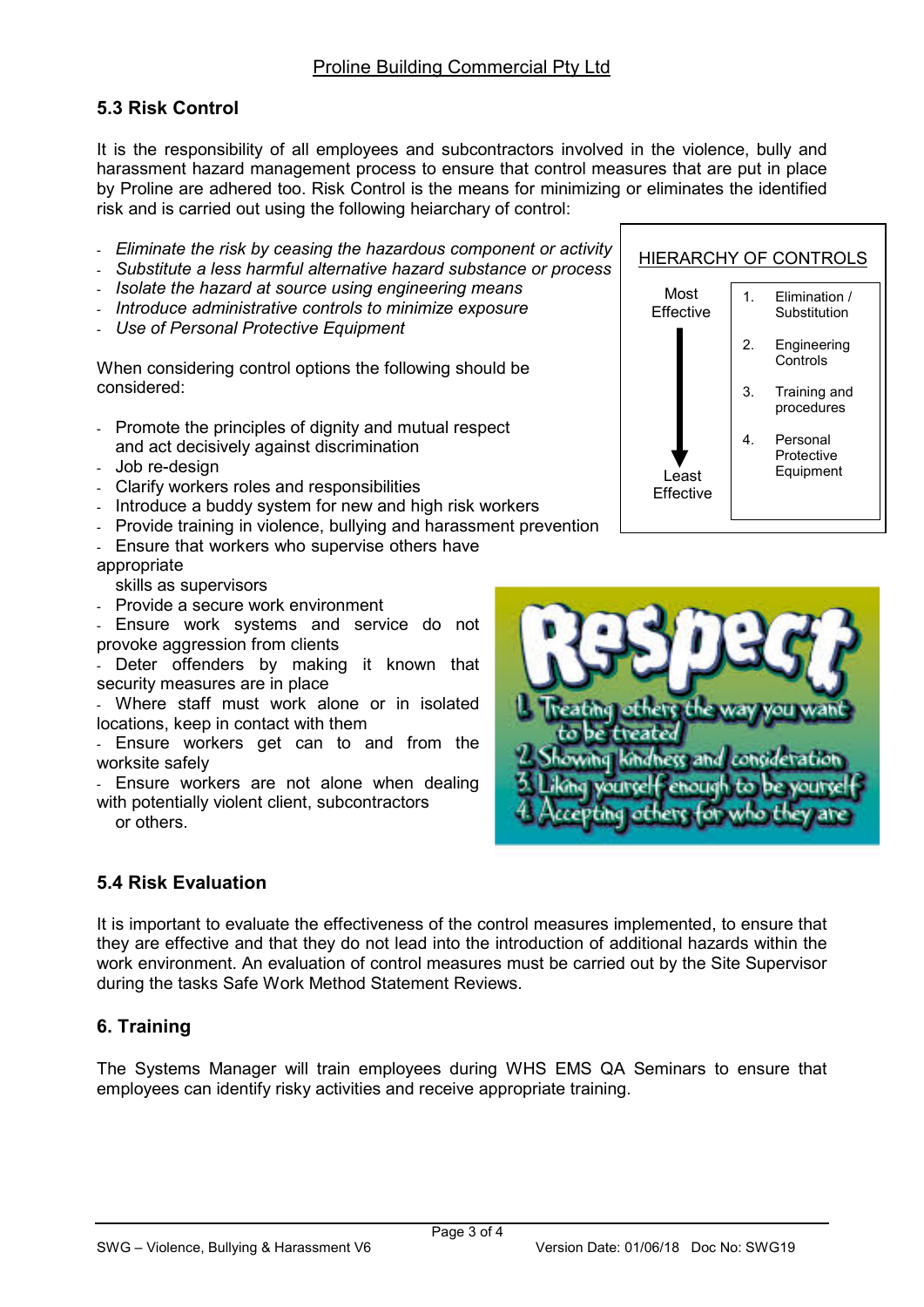# 5.3 Risk Control

It is the responsibility of all employees and subcontractors involved in the violence, bully and harassment hazard management process to ensure that control measures that are put in place by Proline are adhered too. Risk Control is the means for minimizing or eliminates the identified risk and is carried out using the following heiarchary of control:

- Eliminate the risk by ceasing the hazardous component or activity
- Substitute a less harmful alternative hazard substance or process
- Isolate the hazard at source using engineering means
- Introduce administrative controls to minimize exposure
- Use of Personal Protective Equipment

When considering control options the following should be considered:

- Promote the principles of dignity and mutual respect and act decisively against discrimination
- Job re-design
- Clarify workers roles and responsibilities
- Introduce a buddy system for new and high risk workers
- Provide training in violence, bullying and harassment prevention
- Ensure that workers who supervise others have

#### appropriate

skills as supervisors

Provide a secure work environment

- Ensure work systems and service do not provoke aggression from clients

- Deter offenders by making it known that security measures are in place

Where staff must work alone or in isolated locations, keep in contact with them

- Ensure workers get can to and from the worksite safely

- Ensure workers are not alone when dealing with potentially violent client, subcontractors

or others.

# 5.4 Risk Evaluation

It is important to evaluate the effectiveness of the control measures implemented, to ensure that they are effective and that they do not lead into the introduction of additional hazards within the work environment. An evaluation of control measures must be carried out by the Site Supervisor during the tasks Safe Work Method Statement Reviews.

# 6. Training

The Systems Manager will train employees during WHS EMS QA Seminars to ensure that employees can identify risky activities and receive appropriate training.